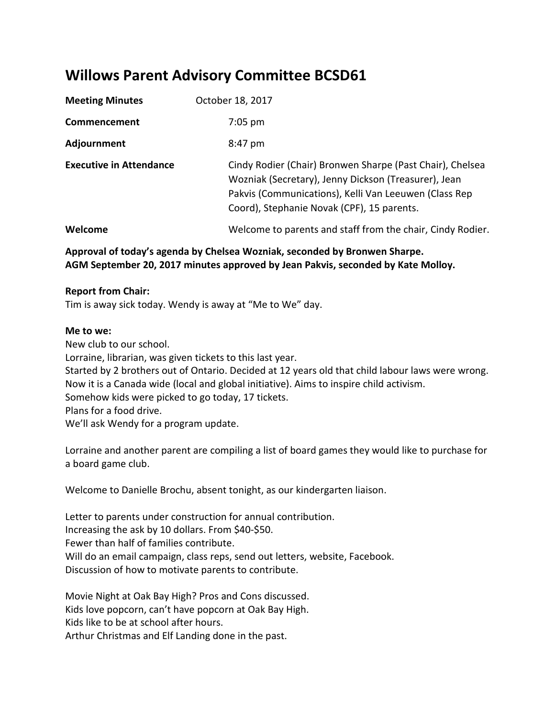# **Willows Parent Advisory Committee BCSD61**

| <b>Meeting Minutes</b>         | October 18, 2017                                                                                                                                                                                                         |
|--------------------------------|--------------------------------------------------------------------------------------------------------------------------------------------------------------------------------------------------------------------------|
| Commencement                   | $7:05$ pm                                                                                                                                                                                                                |
| Adjournment                    | 8:47 pm                                                                                                                                                                                                                  |
| <b>Executive in Attendance</b> | Cindy Rodier (Chair) Bronwen Sharpe (Past Chair), Chelsea<br>Wozniak (Secretary), Jenny Dickson (Treasurer), Jean<br>Pakvis (Communications), Kelli Van Leeuwen (Class Rep<br>Coord), Stephanie Novak (CPF), 15 parents. |
| Welcome                        | Welcome to parents and staff from the chair, Cindy Rodier.                                                                                                                                                               |

**Approval of today's agenda by Chelsea Wozniak, seconded by Bronwen Sharpe. AGM September 20, 2017 minutes approved by Jean Pakvis, seconded by Kate Molloy.**

## **Report from Chair:**

Tim is away sick today. Wendy is away at "Me to We" day.

#### **Me to we:**

New club to our school. Lorraine, librarian, was given tickets to this last year. Started by 2 brothers out of Ontario. Decided at 12 years old that child labour laws were wrong. Now it is a Canada wide (local and global initiative). Aims to inspire child activism. Somehow kids were picked to go today, 17 tickets. Plans for a food drive. We'll ask Wendy for a program update.

Lorraine and another parent are compiling a list of board games they would like to purchase for a board game club.

Welcome to Danielle Brochu, absent tonight, as our kindergarten liaison.

Letter to parents under construction for annual contribution. Increasing the ask by 10 dollars. From \$40-\$50. Fewer than half of families contribute. Will do an email campaign, class reps, send out letters, website, Facebook. Discussion of how to motivate parents to contribute.

Movie Night at Oak Bay High? Pros and Cons discussed. Kids love popcorn, can't have popcorn at Oak Bay High. Kids like to be at school after hours. Arthur Christmas and Elf Landing done in the past.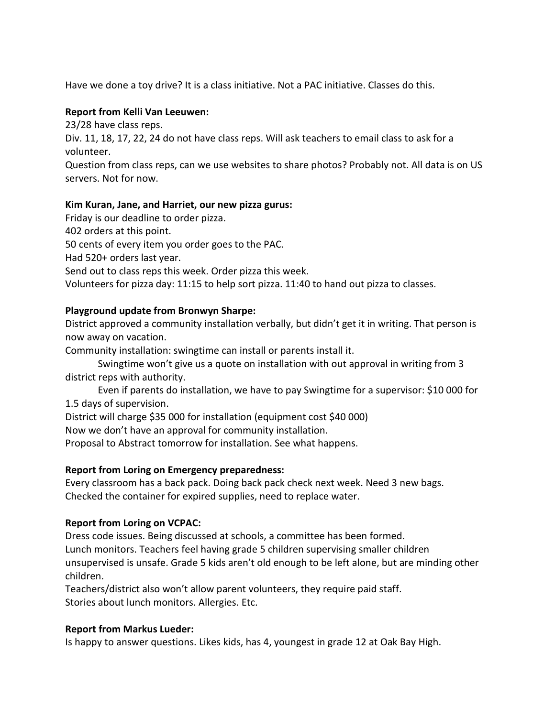Have we done a toy drive? It is a class initiative. Not a PAC initiative. Classes do this.

## **Report from Kelli Van Leeuwen:**

23/28 have class reps.

Div. 11, 18, 17, 22, 24 do not have class reps. Will ask teachers to email class to ask for a volunteer.

Question from class reps, can we use websites to share photos? Probably not. All data is on US servers. Not for now.

## **Kim Kuran, Jane, and Harriet, our new pizza gurus:**

Friday is our deadline to order pizza.

402 orders at this point.

50 cents of every item you order goes to the PAC.

Had 520+ orders last year.

Send out to class reps this week. Order pizza this week.

Volunteers for pizza day: 11:15 to help sort pizza. 11:40 to hand out pizza to classes.

## **Playground update from Bronwyn Sharpe:**

District approved a community installation verbally, but didn't get it in writing. That person is now away on vacation.

Community installation: swingtime can install or parents install it.

Swingtime won't give us a quote on installation with out approval in writing from 3 district reps with authority.

Even if parents do installation, we have to pay Swingtime for a supervisor: \$10 000 for 1.5 days of supervision.

District will charge \$35 000 for installation (equipment cost \$40 000)

Now we don't have an approval for community installation.

Proposal to Abstract tomorrow for installation. See what happens.

## **Report from Loring on Emergency preparedness:**

Every classroom has a back pack. Doing back pack check next week. Need 3 new bags. Checked the container for expired supplies, need to replace water.

## **Report from Loring on VCPAC:**

Dress code issues. Being discussed at schools, a committee has been formed. Lunch monitors. Teachers feel having grade 5 children supervising smaller children unsupervised is unsafe. Grade 5 kids aren't old enough to be left alone, but are minding other children.

Teachers/district also won't allow parent volunteers, they require paid staff. Stories about lunch monitors. Allergies. Etc.

## **Report from Markus Lueder:**

Is happy to answer questions. Likes kids, has 4, youngest in grade 12 at Oak Bay High.